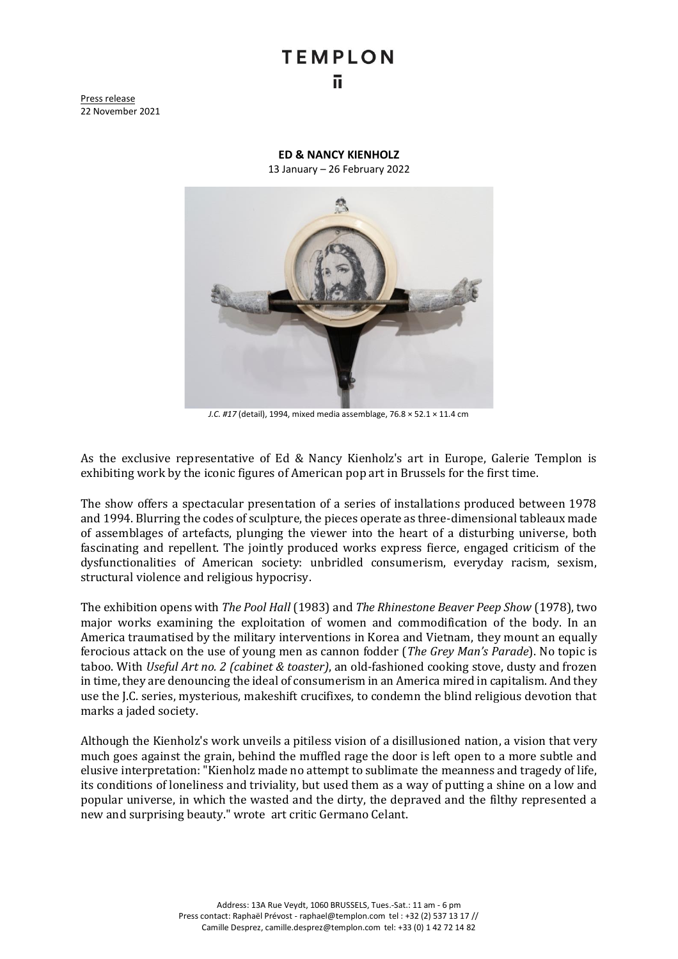## **TEMPLON** ū

Press release 22 November 2021

> **ED & NANCY KIENHOLZ**  13 January – 26 February 2022



*J.C. #17* (detail), 1994, mixed media assemblage, 76.8 × 52.1 × 11.4 cm

As the exclusive representative of Ed & Nancy Kienholz's art in Europe, Galerie Templon is exhibiting work by the iconic figures of American pop art in Brussels for the first time.

The show offers a spectacular presentation of a series of installations produced between 1978 and 1994. Blurring the codes of sculpture, the pieces operate as three-dimensional tableaux made of assemblages of artefacts, plunging the viewer into the heart of a disturbing universe, both fascinating and repellent. The jointly produced works express fierce, engaged criticism of the dysfunctionalities of American society: unbridled consumerism, everyday racism, sexism, structural violence and religious hypocrisy.

The exhibition opens with *The Pool Hall* (1983) and *The Rhinestone Beaver Peep Show* (1978), two major works examining the exploitation of women and commodification of the body. In an America traumatised by the military interventions in Korea and Vietnam, they mount an equally ferocious attack on the use of young men as cannon fodder (*The Grey Man's Parade*). No topic is taboo. With *Useful Art no. 2 (cabinet & toaster)*, an old-fashioned cooking stove, dusty and frozen in time, they are denouncing the ideal of consumerism in an America mired in capitalism. And they use the J.C. series, mysterious, makeshift crucifixes, to condemn the blind religious devotion that marks a jaded society.

Although the Kienholz's work unveils a pitiless vision of a disillusioned nation, a vision that very much goes against the grain, behind the muffled rage the door is left open to a more subtle and elusive interpretation: "Kienholz made no attempt to sublimate the meanness and tragedy of life, its conditions of loneliness and triviality, but used them as a way of putting a shine on a low and popular universe, in which the wasted and the dirty, the depraved and the filthy represented a new and surprising beauty." wrote art critic Germano Celant.